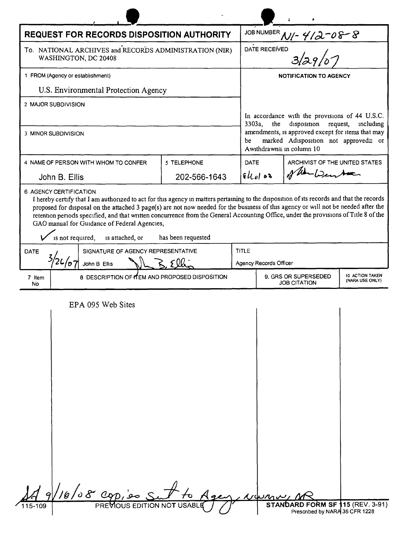| <b>REQUEST FOR RECORDS DISPOSITION AUTHORITY</b>                               |              |                               |                                                                                                                                                                                                      |                                |  |
|--------------------------------------------------------------------------------|--------------|-------------------------------|------------------------------------------------------------------------------------------------------------------------------------------------------------------------------------------------------|--------------------------------|--|
| To. NATIONAL ARCHIVES and RECORDS ADMINISTRATION (NIR)<br>WASHINGTON, DC 20408 |              |                               | JOB NUMBER $M/2$ $4/2 - 08 - 8$<br>DATE RECEIVED                                                                                                                                                     |                                |  |
| 1 FROM (Agency or establishment)                                               |              | <b>NOTIFICATION TO AGENCY</b> |                                                                                                                                                                                                      |                                |  |
| U.S. Environmental Protection Agency                                           |              |                               |                                                                                                                                                                                                      |                                |  |
| 2 MAJOR SUBDIVISION<br>3 MINOR SUBDIVISION                                     |              |                               | In accordance with the provisions of 44 U.S.C.<br>$3303a$ , the<br>disposition<br>request,<br>including<br>amendments, is approved except for items that may<br>marked Adisposition not approved≅ or |                                |  |
|                                                                                |              |                               | be<br>Awithdrawn≅ in column 10                                                                                                                                                                       |                                |  |
| 4 NAME OF PERSON WITH WHOM TO CONFER                                           | 5 TELEPHONE  | <b>DATE</b>                   |                                                                                                                                                                                                      | ARCHIVIST OF THE UNITED STATES |  |
| John B. Ellis                                                                  | 202-566-1643 | 94000                         |                                                                                                                                                                                                      |                                |  |
| SIGNATURE OF AGENCY REPRESENTATIVE<br><b>DATE</b><br>John B Ellis              |              |                               | <b>TITLE</b><br>Agency Records Officer                                                                                                                                                               |                                |  |
| 8 DESCRIPTION OF YEM AND PROPOSED DISPOSITION<br>7 Item                        |              |                               | 10 ACTION TAKEN<br>9. GRS OR SUPERSEDED<br>(NARA USE ONLY)<br><b>JOB CITATION</b>                                                                                                                    |                                |  |
| EPA 095 Web Sites                                                              |              |                               |                                                                                                                                                                                                      |                                |  |
|                                                                                |              |                               |                                                                                                                                                                                                      |                                |  |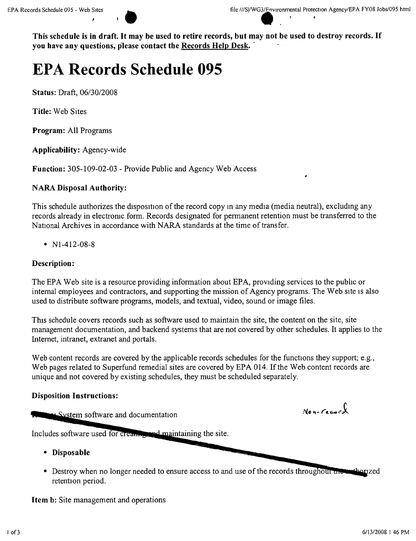$\bullet$   $\bullet$   $\bullet$   $\bullet$   $\bullet$   $\bullet$ 

This schedule is in draft. It may be used to retire records, but may not be used to destroy records. If **you have any questions, please contact the Records Help Desk ."**

# **EPA Records Schedule 095**

**Status:** Draft, *06/3012008*

**Title:** Web Sites

**Program:** All Programs

**Applicability:** Agency-wide

**Function:** 305-109-02-03 - Provide Public and Agency Web Access

# **NARA Disposal Authority:**

This schedule authorizes the disposition of the record copy m any media (media neutral), excludmg any records already in electromc form. Records designated for permanent retention must be transferred to the National Archives in accordance with NARA standards at the time of transfer.

•  $N1-412-08-8$ 

# **Description:**

The EPA Web site is a resource providing information about EPA, providing services to the pubhc or internal employees and contractors, and supporting the mission of Agency programs. The Web site is also used to distribute software programs, models, and textual, video, sound or image files.

This schedule covers records such as software used to maintain the site, the content on the site, site management documentation, and backend systems that are not covered by other schedules. It applies to the Internet, intranet, extranet and portals.

Web content records are covered by the applicable records schedules for the functions they support; e.g., Web pages related to Superfund remedial sites are covered by EPA 014. If the Web content records are unique and not covered by existing schedules, they must be scheduled separately.

# **Disposition Instructions:**

System software and documentation

 $N$ en-Cecara

Includes software used for creating and maintaining the site.

- **• Disposable**
- Destroy when no longer needed to ensure access to and use of the records throughou retention period.

**Item b:** Site management and operations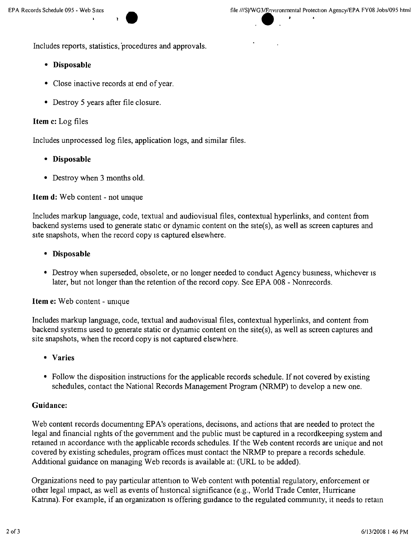Includes reports, statistics, 'procedures and approvals.

#### **• Disposable**

- Close inactive records at end of year.
- Destroy 5 years after file closure.

## **Item** c: Log files

Includes unprocessed log files, application logs, and similar files.

- **• Disposable**
- Destroy when 3 months old.

**Item d:** Web content - not umque

Includes markup language, code, textual and audiovisual files, contextual hyperlinks, and content from backend systems used to generate static or dynamic content on the site(s), as well as screen captures and site snapshots, when the record copy is captured elsewhere.

#### **• Disposable**

• Destroy when superseded, obsolete, or no longer needed to conduct Agency business, whichever is later, but not longer than the retention of the record copy. See EPA 008 - Nonrecords.

**Item** e: Web content - umque

Includes markup language, code, textual and audiovisual files, contextual hyperlinks, and content from backend systems used to generate static or dynamic content on the site(s), as well as screen captures and site snapshots, when the record copy is not captured elsewhere.

- **• Varies**
- Follow the disposition instructions for the applicable records schedule. If not covered by existing schedules, contact the National Records Management Program (NRMP) to develop a new one.

#### **Guidance:**

Web content records documentmg EPA's operations, decisions, and actions that are needed to protect the legal and financial rights of the government and the public must be captured in a recordkeeping system and retamed m accordance with the applicable records schedules. If the Web content records are unique and not covered by existing schedules, program offices must contact the NRMP to prepare a records schedule. Additional guidance on managing Web records is available at: (URL to be added).

Organizations need to pay particular attention to Web content with potential regulatory, enforcement or other legal impact, as well as events of historical significance (e.g., World Trade Center, Hurricane Katrina). For example, if an organization is offering guidance to the regulated community, it needs to retain